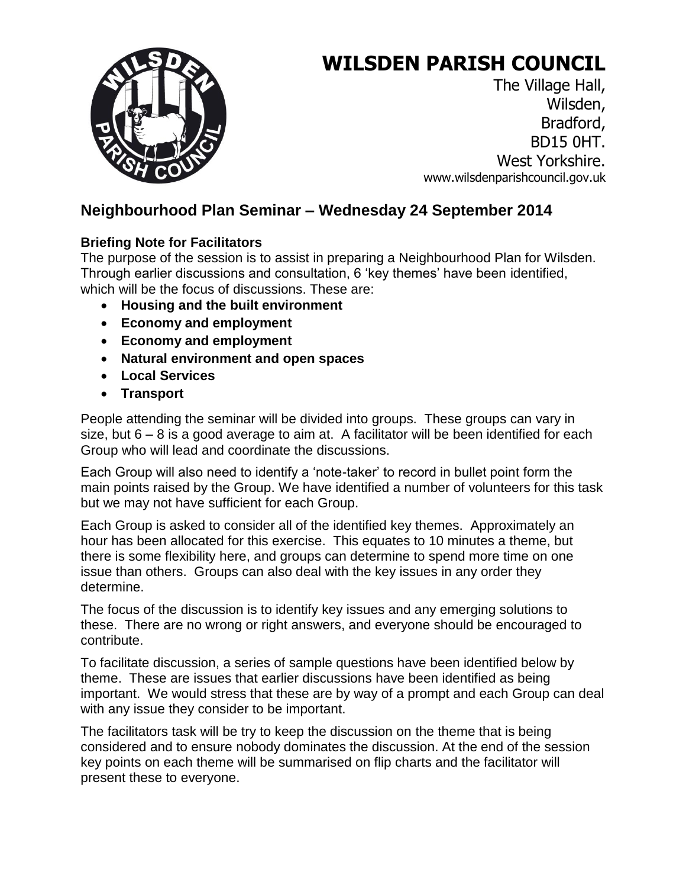# **WILSDEN PARISH COUNCIL**



The Village Hall, Wilsden, Bradford, BD15 0HT. West Yorkshire. www.wilsdenparishcouncil.gov.uk

# **Neighbourhood Plan Seminar – Wednesday 24 September 2014**

## **Briefing Note for Facilitators**

The purpose of the session is to assist in preparing a Neighbourhood Plan for Wilsden. Through earlier discussions and consultation, 6 'key themes' have been identified, which will be the focus of discussions. These are:

- **Housing and the built environment**
- **Economy and employment**
- **Economy and employment**
- **Natural environment and open spaces**
- **Local Services**
- **Transport**

People attending the seminar will be divided into groups. These groups can vary in size, but 6 – 8 is a good average to aim at. A facilitator will be been identified for each Group who will lead and coordinate the discussions.

Each Group will also need to identify a 'note-taker' to record in bullet point form the main points raised by the Group. We have identified a number of volunteers for this task but we may not have sufficient for each Group.

Each Group is asked to consider all of the identified key themes. Approximately an hour has been allocated for this exercise. This equates to 10 minutes a theme, but there is some flexibility here, and groups can determine to spend more time on one issue than others. Groups can also deal with the key issues in any order they determine.

The focus of the discussion is to identify key issues and any emerging solutions to these. There are no wrong or right answers, and everyone should be encouraged to contribute.

To facilitate discussion, a series of sample questions have been identified below by theme. These are issues that earlier discussions have been identified as being important. We would stress that these are by way of a prompt and each Group can deal with any issue they consider to be important.

The facilitators task will be try to keep the discussion on the theme that is being considered and to ensure nobody dominates the discussion. At the end of the session key points on each theme will be summarised on flip charts and the facilitator will present these to everyone.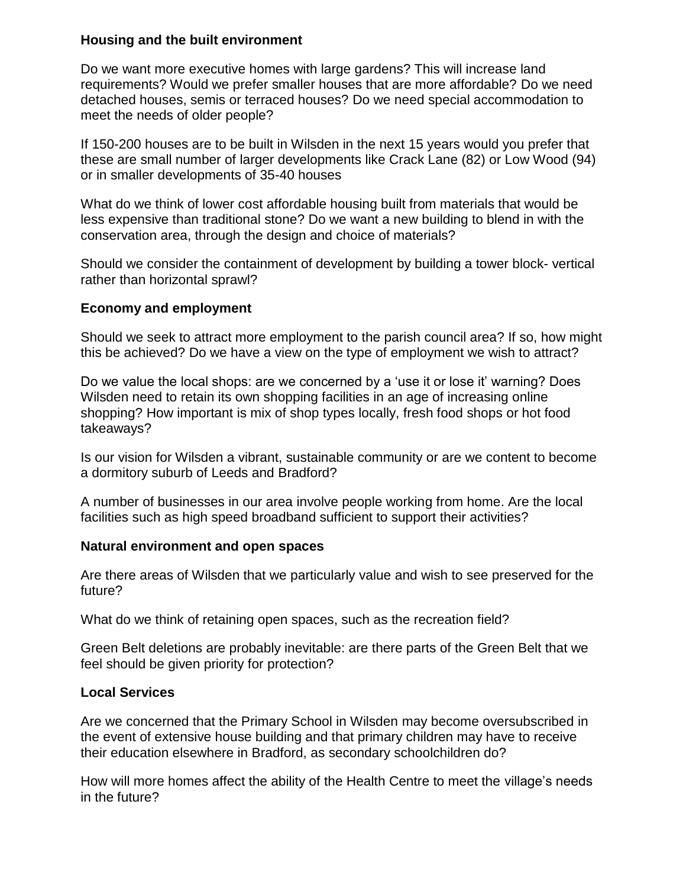#### **Housing and the built environment**

Do we want more executive homes with large gardens? This will increase land requirements? Would we prefer smaller houses that are more affordable? Do we need detached houses, semis or terraced houses? Do we need special accommodation to meet the needs of older people?

If 150-200 houses are to be built in Wilsden in the next 15 years would you prefer that these are small number of larger developments like Crack Lane (82) or Low Wood (94) or in smaller developments of 35-40 houses

What do we think of lower cost affordable housing built from materials that would be less expensive than traditional stone? Do we want a new building to blend in with the conservation area, through the design and choice of materials?

Should we consider the containment of development by building a tower block- vertical rather than horizontal sprawl?

#### **Economy and employment**

Should we seek to attract more employment to the parish council area? If so, how might this be achieved? Do we have a view on the type of employment we wish to attract?

Do we value the local shops: are we concerned by a 'use it or lose it' warning? Does Wilsden need to retain its own shopping facilities in an age of increasing online shopping? How important is mix of shop types locally, fresh food shops or hot food takeaways?

Is our vision for Wilsden a vibrant, sustainable community or are we content to become a dormitory suburb of Leeds and Bradford?

A number of businesses in our area involve people working from home. Are the local facilities such as high speed broadband sufficient to support their activities?

#### **Natural environment and open spaces**

Are there areas of Wilsden that we particularly value and wish to see preserved for the future?

What do we think of retaining open spaces, such as the recreation field?

Green Belt deletions are probably inevitable: are there parts of the Green Belt that we feel should be given priority for protection?

#### **Local Services**

Are we concerned that the Primary School in Wilsden may become oversubscribed in the event of extensive house building and that primary children may have to receive their education elsewhere in Bradford, as secondary schoolchildren do?

How will more homes affect the ability of the Health Centre to meet the village's needs in the future?